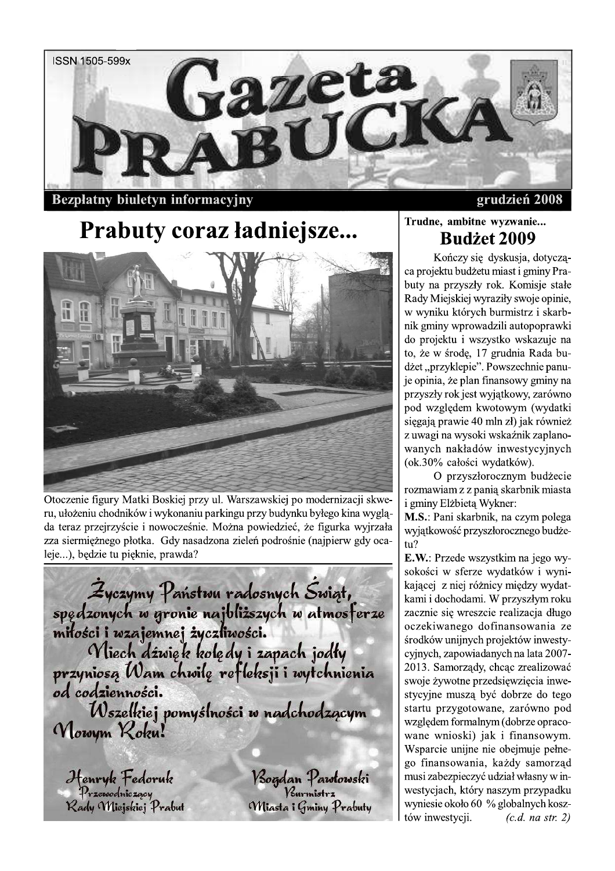

**Bezpłatny biuletyn informacyjny** 

grudzień 2008

# Prabuty coraz ładniejsze...



Otoczenie figury Matki Boskiej przy ul. Warszawskiej po modernizacji skweru, ułożeniu chodników i wykonaniu parkingu przy budynku byłego kina wygląda teraz przejrzyście i nowocześnie. Można powiedzieć, że figurka wyjrzała zza siermiężnego płotka. Gdy nasadzona zieleń podrośnie (najpierw gdy ocaleje...), bedzie tu pięknie, prawda?

Życzymy Państwu radosnych Świąt,<br>spędzonych w gronie najbliższych w atmosferze<br>miłości i wzajemnej życzliwości.<br>Miech dźwięk kolędy i zapach jodły<br>przyniosą Wam chwilę refleksji i wytchnienia od codzienności. Wszelkiej pomyślności w nadchodzącym Nowym Roku!

Henryk Fedoruk<br>Przewodniczący<br>Kady Miejskiej Prabut

<mark>Vsogdan Pawłowski</mark><br><sup>Vsurmistrz</sup> Miasta i Gminy Prabuty

# Trudne, ambitne wyzwanie... **Budżet 2009**

Kończy się dyskusja, dotycząca projektu budżetu miast i gminy Prabuty na przyszły rok. Komisje stałe Rady Miejskiej wyraziły swoje opinie, w wyniku których burmistrz i skarbnik gminy wprowadzili autopoprawki do projektu i wszystko wskazuje na to, że w środę, 17 grudnia Rada budżet "przyklepie". Powszechnie panuje opinia, że plan finansowy gminy na przyszły rok jest wyjątkowy, zarówno pod względem kwotowym (wydatki sięgają prawie 40 mln zł) jak również z uwagi na wysoki wskaźnik zaplanowanych nakładów inwestycyjnych (ok.30% całości wydatków).

O przyszłorocznym budżecie rozmawiam z z panią skarbnik miasta i gminy Elżbietą Wykner:

M.S.: Pani skarbnik, na czym polega wyjątkowość przyszłorocznego budże $tu?$ 

E.W.: Przede wszystkim na jego wysokości w sferze wydatków i wynikającej z niej różnicy między wydatkami i dochodami. W przyszłym roku zacznie się wreszcie realizacja długo oczekiwanego dofinansowania ze środków unijnych projektów inwestycyjnych, zapowiadanych na lata 2007-2013. Samorządy, chcąc zrealizować swoje żywotne przedsięwzięcia inwestycyjne muszą być dobrze do tego startu przygotowane, zarówno pod względem formalnym (dobrze opracowane wnioski) jak i finansowym. Wsparcie unijne nie obejmuje pełnego finansowania, każdy samorząd musi zabezpieczyć udział własny w inwestycjach, który naszym przypadku wyniesie około 60 % globalnych kosztów inwestycji.  $(c.d.$  na str. 2)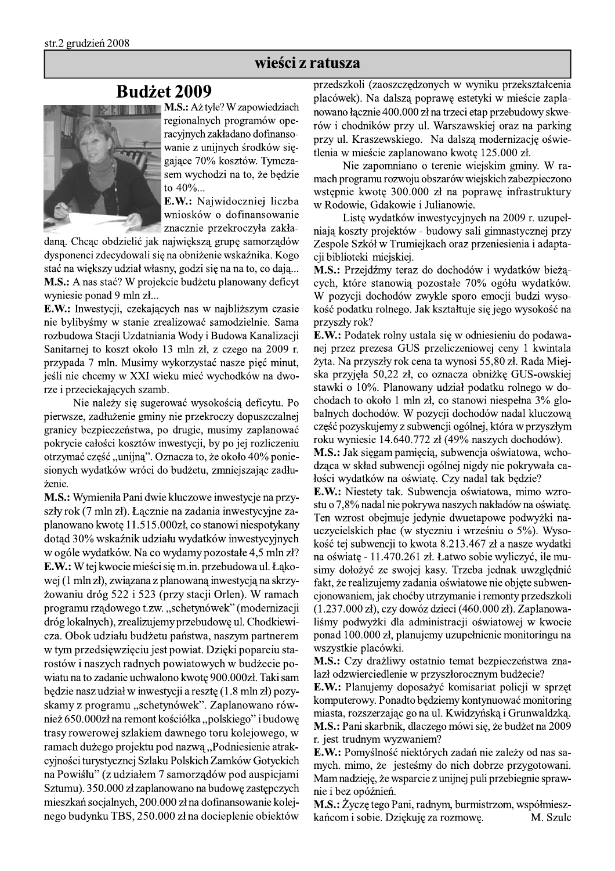### wieści z ratusza

# **Budżet 2009**



M.S.: Aż tyle? W zapowiedziach regionalnych programów operacyjnych zakładano dofinansowanie z unijnych środków sięgające 70% kosztów. Tymczasem wychodzi na to, że będzie to  $40\%...$ 

> E.W.: Najwidoczniej liczba wniosków o dofinansowanie znacznie przekroczyła zakła-

daną. Chcąc obdzielić jak największą grupę samorządów dysponenci zdecydowali się na obniżenie wskaźnika. Kogo stać na większy udział własny, godzi się na na to, co dają... M.S.: A nas stać? W projekcie budżetu planowany deficyt wyniesie ponad 9 mln zł...

E.W.: Inwestycji, czekających nas w najbliższym czasie nie bylibyśmy w stanie zrealizować samodzielnie. Sama rozbudowa Stacji Uzdatniania Wody i Budowa Kanalizacji Sanitarnej to koszt około 13 mln zł, z czego na 2009 r. przypada 7 mln. Musimy wykorzystać nasze pięć minut, jeśli nie chcemy w XXI wieku mieć wychodków na dworze i przeciekających szamb.

Nie należy się sugerować wysokością deficytu. Po pierwsze, zadłużenie gminy nie przekroczy dopuszczalnej granicy bezpieczeństwa, po drugie, musimy zaplanować pokrycie całości kosztów inwestycji, by po jej rozliczeniu otrzymać część "unijną". Oznacza to, że około 40% poniesionych wydatków wróci do budżetu, zmniejszając zadłużenie.

M.S.: Wymieniła Pani dwie kluczowe inwestycje na przyszły rok (7 mln zł). Łącznie na zadania inwestycyjne zaplanowano kwotę 11.515.000zł, co stanowi niespotykany dotąd 30% wskaźnik udziału wydatków inwestycyjnych w ogóle wydatków. Na co wydamy pozostałe 4,5 mln zł? E.W.: W tej kwocie mieści się m.in. przebudowa ul. Łąkowej (1 mln zł), związana z planowaną inwestycją na skrzyżowaniu dróg 522 i 523 (przy stacji Orlen). W ramach programu rządowego t.zw. "schetynówek" (modernizacji dróg lokalnych), zrealizujemy przebudowę ul. Chodkiewicza. Obok udziału budżetu państwa, naszym partnerem w tym przedsięwzięciu jest powiat. Dzięki poparciu starostów i naszych radnych powiatowych w budżecie powiatu na to zadanie uchwalono kwotę 900.000zł. Taki sam będzie nasz udział w inwestycji a resztę (1.8 mln zł) pozyskamy z programu "schetynówek". Zaplanowano również 650.000zł na remont kościółka "polskiego" i budowe trasy rowerowej szlakiem dawnego toru kolejowego, w ramach dużego projektu pod nazwą, Podniesienie atrakcyjności turystycznej Szlaku Polskich Zamków Gotyckich na Powiślu" (z udziałem 7 samorządów pod auspicjami Sztumu). 350.000 zł zaplanowano na budowę zastępczych mieszkań socjalnych, 200.000 zł na dofinansowanie kolejnego budynku TBS, 250.000 zł na docieplenie obiektów przedszkoli (zaoszczędzonych w wyniku przekształcenia placówek). Na dalszą poprawę estetyki w mieście zaplanowano łącznie 400.000 zł na trzeci etap przebudowy skwerów i chodników przy ul. Warszawskiej oraz na parking przy ul. Kraszewskiego. Na dalszą modernizację oświetlenia w mieście zaplanowano kwotę 125.000 zł.

Nie zapomniano o terenie wiejskim gminy. W ramach programu rozwoju obszarów wiejskich zabezpieczono wstępnie kwotę 300.000 zł na poprawę infrastruktury w Rodowie, Gdakowie i Julianowie.

Listę wydatków inwestycyjnych na 2009 r. uzupełniają koszty projektów - budowy sali gimnastycznej przy Zespole Szkół w Trumiejkach oraz przeniesienia i adaptacji biblioteki miejskiej.

M.S.: Przejdźmy teraz do dochodów i wydatków bieżących, które stanowią pozostałe 70% ogółu wydatków. W pozycji dochodów zwykle sporo emocji budzi wysokość podatku rolnego. Jak kształtuje się jego wysokość na przyszły rok?

E.W.: Podatek rolny ustala się w odniesieniu do podawanej przez prezesa GUS przeliczeniowej ceny 1 kwintala żyta. Na przyszły rok cena ta wynosi 55,80 zł. Rada Miejska przyjęła 50,22 zł, co oznacza obniżkę GUS-owskiej stawki o 10%. Planowany udział podatku rolnego w dochodach to około 1 mln zł, co stanowi niespełna 3% globalnych dochodów. W pozycji dochodów nadal kluczowa część pozyskujemy z subwencji ogólnej, która w przyszłym roku wyniesie 14.640.772 zł (49% naszych dochodów).

M.S.: Jak sięgam pamięcią, subwencja oświatowa, wchodząca w skład subwencji ogólnej nigdy nie pokrywała całości wydatków na oświatę. Czy nadal tak będzie?

E.W.: Niestety tak. Subwencja oświatowa, mimo wzrostu o 7,8% nadal nie pokrywa naszych nakładów na oświate. Ten wzrost obejmuje jedynie dwuetapowe podwyżki nauczycielskich płac (w styczniu i wrześniu o 5%). Wysokość tej subwencji to kwota 8.213.467 zł a nasze wydatki na oświatę - 11.470.261 zł. Łatwo sobie wyliczyć, ile musimy dołożyć ze swojej kasy. Trzeba jednak uwzględnić fakt, że realizujemy zadania oświatowe nie objęte subwencjonowaniem, jak choćby utrzymanie i remonty przedszkoli  $(1.237.000 \text{ z})$ , czy dowóz dzieci  $(460.000 \text{ z})$ . Zaplanowaliśmy podwyżki dla administracji oświatowej w kwocie ponad 100.000 zł, planujemy uzupełnienie monitoringu na wszystkie placówki.

M.S.: Czy drażliwy ostatnio temat bezpieczeństwa znalazł odzwierciedlenie w przyszłorocznym budżecie?

E.W.: Planujemy doposażyć komisariat policji w sprzęt komputerowy. Ponadto będziemy kontynuować monitoring miasta, rozszerzając go na ul. Kwidzyńską i Grunwaldzką. M.S.: Pani skarbnik, dlaczego mówi się, że budżet na 2009 r. jest trudnym wyzwaniem?

E.W.: Pomyślność niektórych zadań nie zależy od nas samych. mimo, że jesteśmy do nich dobrze przygotowani. Mam nadzieję, że wsparcie z unijnej puli przebiegnie sprawnie i bez opóźnień.

M.S.: Życzę tego Pani, radnym, burmistrzom, współmieszkańcom i sobie. Dziękuję za rozmowę. M. Szulc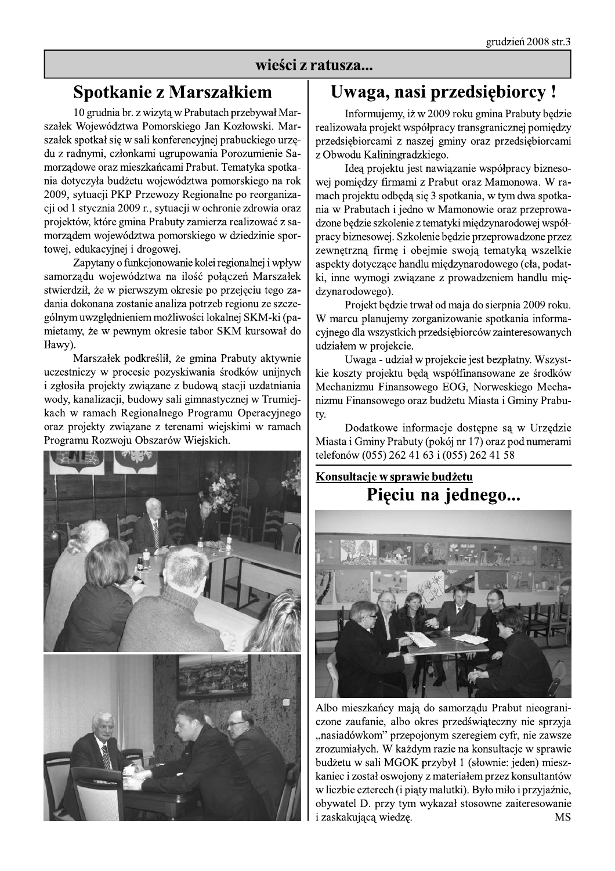### wieści z ratusza...

# Spotkanie z Marszałkiem

10 grudnia br. z wizytą w Prabutach przebywał Marszałek Województwa Pomorskiego Jan Kozłowski. Marszałek spotkał się w sali konferencyjnej prabuckiego urzędu z radnymi, członkami ugrupowania Porozumienie Samorządowe oraz mieszkańcami Prabut. Tematyka spotkania dotyczyła budżetu województwa pomorskiego na rok 2009, sytuacji PKP Przewozy Regionalne po reorganizacji od 1 stycznia 2009 r., sytuacji w ochronie zdrowia oraz projektów, które gmina Prabuty zamierza realizować z samorządem województwa pomorskiego w dziedzinie sportowej, edukacyjnej i drogowej.

Zapytany o funkcjonowanie kolei regionalnej i wpływ samorządu województwa na ilość połączeń Marszałek stwierdził, że w pierwszym okresie po przejęciu tego zadania dokonana zostanie analiza potrzeb regionu ze szczególnym uwzględnieniem możliwości lokalnej SKM-ki (pamietamy, że w pewnym okresie tabor SKM kursował do Iławy).

Marszałek podkreślił, że gmina Prabuty aktywnie uczestniczy w procesie pozyskiwania środków unijnych i zgłosiła projekty związane z budową stacji uzdatniania wody, kanalizacji, budowy sali gimnastycznej w Trumiejkach w ramach Regionalnego Programu Operacyjnego oraz projekty związane z terenami wiejskimi w ramach Programu Rozwoju Obszarów Wiejskich.



# Uwaga, nasi przedsiębiorcy !

Informujemy, iż w 2009 roku gmina Prabuty będzie realizowała projekt współpracy transgranicznej pomiedzy przedsiębiorcami z naszej gminy oraz przedsiębiorcami z Obwodu Kaliningradzkiego.

Idea projektu jest nawiązanie współpracy biznesowej pomiędzy firmami z Prabut oraz Mamonowa. W ramach projektu odbędą się 3 spotkania, w tym dwa spotkania w Prabutach i jedno w Mamonowie oraz przeprowadzone będzie szkolenie z tematyki międzynarodowej współpracy biznesowej. Szkolenie będzie przeprowadzone przez zewnętrzną firmę i obejmie swoją tematyką wszelkie aspekty dotyczące handlu międzynarodowego (cła, podatki, inne wymogi związane z prowadzeniem handlu międzynarodowego).

Projekt bedzie trwał od maja do sierpnia 2009 roku. W marcu planujemy zorganizowanie spotkania informacyjnego dla wszystkich przedsiębiorców zainteresowanych udziałem w projekcie.

Uwaga - udział w projekcie jest bezpłatny. Wszystkie koszty projektu będą współfinansowane ze środków Mechanizmu Finansowego EOG, Norweskiego Mechanizmu Finansowego oraz budżetu Miasta i Gminy Prabuty.

Dodatkowe informacje dostępne są w Urzędzie Miasta i Gminy Prabuty (pokój nr 17) oraz pod numerami telefonów (055) 262 41 63 i (055) 262 41 58

# Konsultacje w sprawie budżetu Pięciu na jednego...



Albo mieszkańcy mają do samorządu Prabut nieograniczone zaufanie, albo okres przedświąteczny nie sprzyja "nasiadówkom" przepojonym szeregiem cyfr, nie zawsze zrozumiałych. W każdym razie na konsultacje w sprawie budżetu w sali MGOK przybył 1 (słownie: jeden) mieszkaniec i został oswojony z materiałem przez konsultantów w liczbie czterech (i piąty malutki). Było miło i przyjaźnie, obywatel D. przy tym wykazał stosowne zaiteresowanie i zaskakującą wiedzę. **MS**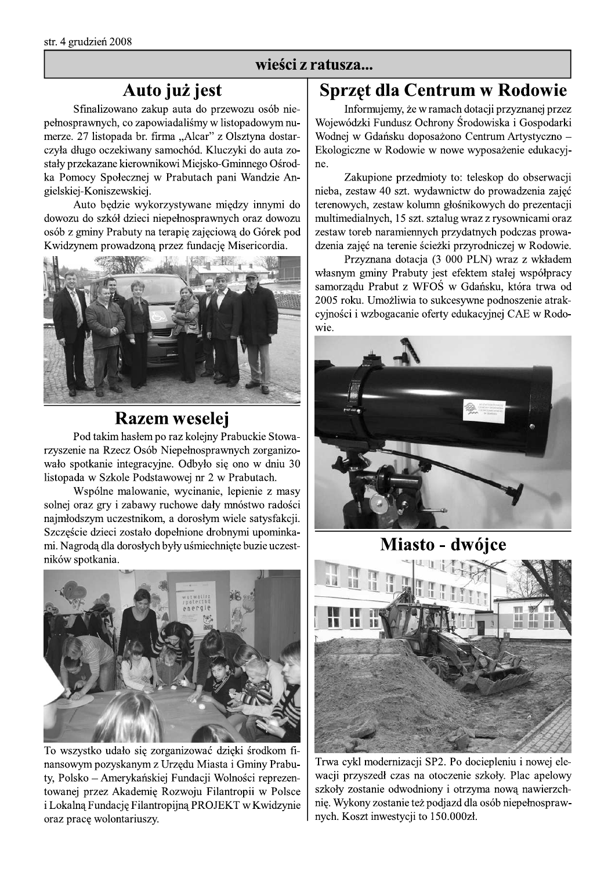# wieści z ratusza...

# Auto już jest

Sfinalizowano zakup auta do przewozu osób niepełnosprawnych, co zapowiadaliśmy w listopadowym numerze. 27 listopada br. firma "Alcar" z Olsztyna dostarczyła długo oczekiwany samochód. Kluczyki do auta zostały przekazane kierownikowi Miejsko-Gminnego Ośrodka Pomocy Społecznej w Prabutach pani Wandzie Angielskiej-Koniszewskiej.

Auto będzie wykorzystywane między innymi do dowozu do szkół dzieci niepełnosprawnych oraz dowozu osób z gminy Prabuty na terapie zajęciową do Górek pod Kwidzynem prowadzoną przez fundację Misericordia.



# **Razem weselej**

Pod takim hasłem po raz kolejny Prabuckie Stowarzyszenie na Rzecz Osób Niepełnosprawnych zorganizowało spotkanie integracyjne. Odbyło się ono w dniu 30 listopada w Szkole Podstawowej nr 2 w Prabutach.

Wspólne malowanie, wycinanie, lepienie z masy solnej oraz gry i zabawy ruchowe dały mnóstwo radości najmłodszym uczestnikom, a dorosłym wiele satysfakcji. Szczęście dzieci zostało dopełnione drobnymi upominkami. Nagrodą dla dorosłych były uśmiechnięte buzie uczestników spotkania.



To wszystko udało się zorganizować dzięki środkom finansowym pozyskanym z Urzędu Miasta i Gminy Prabuty, Polsko – Amerykańskiej Fundacji Wolności reprezentowanej przez Akademię Rozwoju Filantropii w Polsce i Lokalną Fundację Filantropijną PROJEKT w Kwidzynie oraz pracę wolontariuszy.

# Sprzęt dla Centrum w Rodowie

Informujemy, że w ramach dotacji przyznanej przez Wojewódzki Fundusz Ochrony Środowiska i Gospodarki Wodnej w Gdańsku doposażono Centrum Artystyczno -Ekologiczne w Rodowie w nowe wyposażenie edukacyjne.

Zakupione przedmioty to: teleskop do obserwacji nieba, zestaw 40 szt. wydawnictw do prowadzenia zajęć terenowych, zestaw kolumn głośnikowych do prezentacji multimedialnych, 15 szt. sztalug wraz z rysownicami oraz zestaw toreb naramiennych przydatnych podczas prowadzenia zajęć na terenie ścieżki przyrodniczej w Rodowie.

Przyznana dotacja (3 000 PLN) wraz z wkładem własnym gminy Prabuty jest efektem stałej współpracy samorządu Prabut z WFOS w Gdańsku, która trwa od 2005 roku. Umożliwia to sukcesywne podnoszenie atrakcyjności i wzbogacanie oferty edukacyjnej CAE w Rodowie.



Miasto - dwójce



Trwa cykl modernizacji SP2. Po dociepleniu i nowej elewacji przyszedł czas na otoczenie szkoły. Plac apelowy szkoły zostanie odwodniony i otrzyma nowa nawierzchnię. Wykony zostanie też podjazd dla osób niepełnosprawnych. Koszt inwestycji to 150.000zł.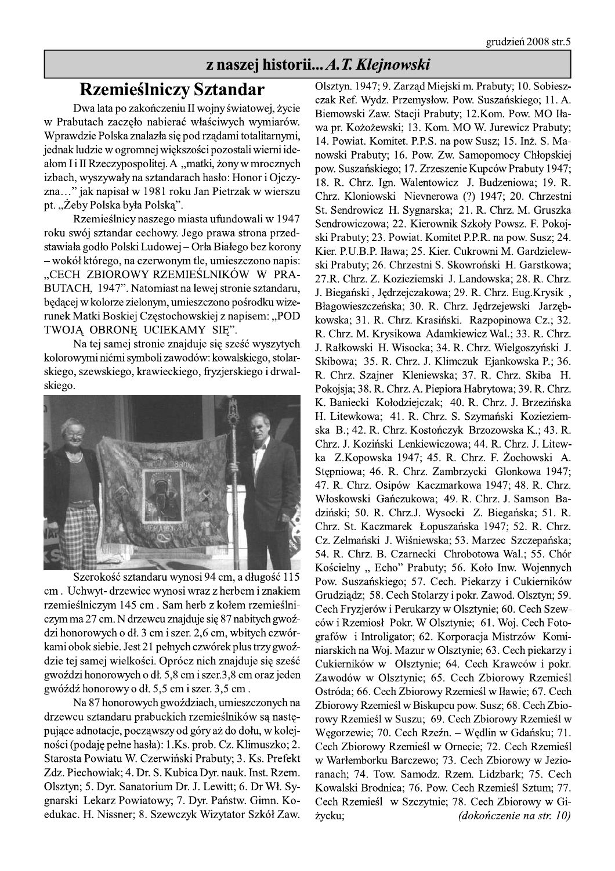# z naszej historii... A. T. Klejnowski

# **Rzemieślniczy Sztandar**

Dwa lata po zakończeniu II wojny światowej, życie w Prabutach zaczęło nabierać właściwych wymiarów. Wprawdzie Polska znalazła się pod rządami totalitarnymi, jednak ludzie w ogromnej większości pozostali wierni ideałom I i II Rzeczypospolitej. A "matki, żony w mrocznych izbach, wyszywały na sztandarach hasło: Honor i Ojczyzna..." jak napisał w 1981 roku Jan Pietrzak w wierszu pt. "Żeby Polska była Polską".

Rzemieślnicy naszego miasta ufundowali w 1947 roku swój sztandar cechowy. Jego prawa strona przedstawiała godło Polski Ludowej – Orła Białego bez korony - wokół którego, na czerwonym tle, umieszczono napis: "CECH ZBIOROWY RZEMIEŚLNIKÓW W PRA-BUTACH, 1947". Natomiast na lewej stronie sztandaru, będącej w kolorze zielonym, umieszczono pośrodku wizerunek Matki Boskiej Częstochowskiej z napisem: "POD TWOJĄ OBRONĘ UCIEKAMY SIĘ".

Na tej samej stronie znajduje się sześć wyszytych kolorowymi nićmi symboli zawodów: kowalskiego, stolarskiego, szewskiego, krawieckiego, fryzjerskiego i drwalskiego.



Szerokość sztandaru wynosi 94 cm, a długość 115 cm. Uchwyt-drzewiec wynosi wraz z herbem i znakiem rzemieślniczym 145 cm. Sam herb z kołem rzemieślniczym ma 27 cm. N drzewcu znajduje się 87 nabitych gwoździ honorowych o dł. 3 cm i szer. 2,6 cm, wbitych czwórkami obok siebie. Jest 21 pełnych czwórek plus trzy gwoździe tej samej wielkości. Oprócz nich znajduje się sześć gwoździ honorowych o dł. 5,8 cm i szer.3,8 cm oraz jeden gwóźdź honorowy o dł. 5,5 cm i szer. 3,5 cm.

Na 87 honorowych gwoździach, umieszczonych na drzewcu sztandaru prabuckich rzemieślników są następujące adnotacje, począwszy od góry aż do dołu, w kolejności (podaję pełne hasła): 1.Ks. prob. Cz. Klimuszko; 2. Starosta Powiatu W. Czerwiński Prabuty; 3. Ks. Prefekt Zdz. Piechowiak; 4. Dr. S. Kubica Dyr. nauk. Inst. Rzem. Olsztyn; 5. Dyr. Sanatorium Dr. J. Lewitt; 6. Dr Wł. Sygnarski Lekarz Powiatowy; 7. Dyr. Państw. Gimn. Koedukac. H. Nissner; 8. Szewczyk Wizytator Szkół Zaw. Olsztyn. 1947; 9. Zarząd Miejski m. Prabuty; 10. Sobieszczak Ref. Wydz. Przemysłow. Pow. Suszańskiego; 11. A. Biemowski Zaw. Stacji Prabuty; 12.Kom. Pow. MO Iława pr. Kożożewski; 13. Kom. MO W. Jurewicz Prabuty; 14. Powiat. Komitet. P.P.S. na pow Susz; 15. Inż. S. Manowski Prabuty; 16. Pow. Zw. Samopomocy Chłopskiej pow. Suszańskiego; 17. Zrzeszenie Kupców Prabuty 1947; 18. R. Chrz. Ign. Walentowicz J. Budzeniowa; 19. R. Chrz. Kloniowski Nievnerowa (?) 1947; 20. Chrzestni St. Sendrowicz H. Sygnarska; 21. R. Chrz. M. Gruszka Sendrowiczowa; 22. Kierownik Szkoły Powsz. F. Pokojski Prabuty; 23. Powiat. Komitet P.P.R. na pow. Susz; 24. Kier. P.U.B.P. Iława; 25. Kier. Cukrowni M. Gardzielewski Prabuty; 26. Chrzestni S. Skowroński H. Garstkowa; 27.R. Chrz. Z. Kozieziemski J. Landowska; 28. R. Chrz. J. Biegański, Jędrzejczakowa; 29. R. Chrz. Eug. Krysik, Błagowieszczeńska; 30. R. Chrz. Jędrzejewski Jarzębkowska; 31. R. Chrz. Krasiński. Razpopinowa Cz.; 32. R. Chrz. M. Krysikowa Adamkiewicz Wal.; 33. R. Chrz. J. Rałkowski H. Wisocka; 34. R. Chrz. Wielgoszyński J. Skibowa; 35. R. Chrz. J. Klimczuk Ejankowska P.; 36. R. Chrz. Szajner Kleniewska; 37. R. Chrz. Skiba H. Pokojsja; 38. R. Chrz. A. Piepiora Habrytowa; 39. R. Chrz. K. Baniecki Kołodziejczak; 40. R. Chrz. J. Brzezińska H. Litewkowa; 41. R. Chrz. S. Szymański Kozieziemska B.; 42. R. Chrz. Kostończyk Brzozowska K.; 43. R. Chrz. J. Koziński Lenkiewiczowa; 44. R. Chrz. J. Litewka Z.Kopowska 1947; 45. R. Chrz. F. Żochowski A. Stępniowa; 46. R. Chrz. Zambrzycki Glonkowa 1947; 47. R. Chrz. Osipów Kaczmarkowa 1947; 48. R. Chrz. Włoskowski Gańczukowa; 49. R. Chrz. J. Samson Badziński; 50. R. Chrz.J. Wysocki Z. Biegańska; 51. R. Chrz. St. Kaczmarek Łopuszańska 1947; 52. R. Chrz. Cz. Zelmański J. Wiśniewska; 53. Marzec Szczepańska; 54. R. Chrz. B. Czarnecki Chrobotowa Wal.; 55. Chór Kościelny "Echo" Prabuty; 56. Koło Inw. Wojennych Pow. Suszańskiego; 57. Cech. Piekarzy i Cukierników Grudziadz; 58. Cech Stolarzy i pokr. Zawod. Olsztyn; 59. Cech Fryzjerów i Perukarzy w Olsztynie; 60. Cech Szewców i Rzemiosł Pokr. W Olsztynie; 61. Woj. Cech Fotografów i Introligator; 62. Korporacja Mistrzów Kominiarskich na Woj. Mazur w Olsztynie; 63. Cech piekarzy i Cukierników w Olsztynie; 64. Cech Krawców i pokr. Zawodów w Olsztynie; 65. Cech Zbiorowy Rzemieśl Ostróda; 66. Cech Zbiorowy Rzemieśl w Iławie; 67. Cech Zbiorowy Rzemieśl w Biskupcu pow. Susz; 68. Cech Zbiorowy Rzemieśl w Suszu; 69. Cech Zbiorowy Rzemieśl w Węgorzewie; 70. Cech Rzeźn. – Wędlin w Gdańsku; 71. Cech Zbiorowy Rzemieśl w Ornecie; 72. Cech Rzemieśl w Warłemborku Barczewo; 73. Cech Zbiorowy w Jezioranach; 74. Tow. Samodz. Rzem. Lidzbark; 75. Cech Kowalski Brodnica; 76. Pow. Cech Rzemieśl Sztum; 77. Cech Rzemieśl w Szczytnie; 78. Cech Zbiorowy w Gi-(dokończenie na str. 10) życku;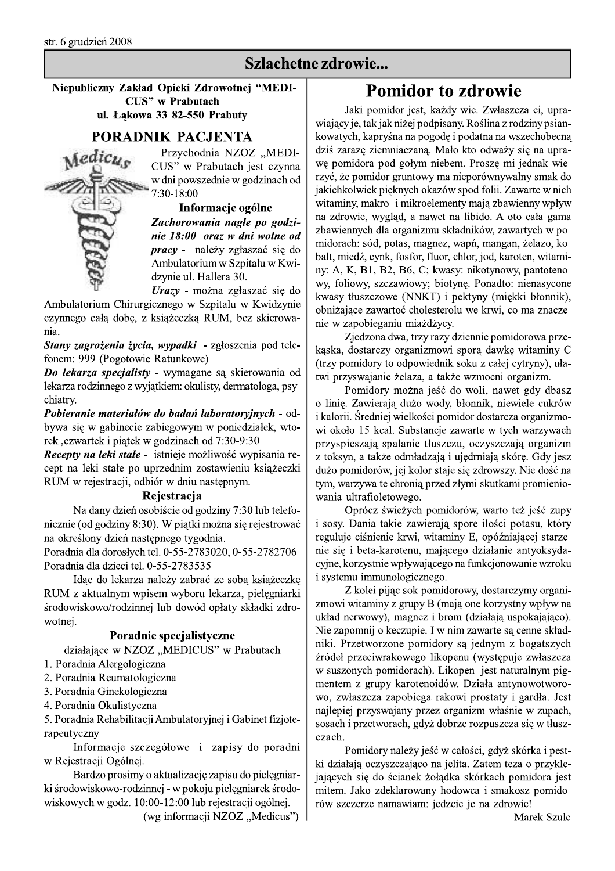# Szlachetne zdrowie...

### Niepubliczny Zakład Opieki Zdrowotnej "MEDI-**CUS**" w Prabutach ul. Łakowa 33 82-550 Prabuty

### **PORADNIK PACJENTA**



Przychodnia NZOZ "MEDI-CUS" w Prabutach jest czynna w dni powszednie w godzinach od 7:30-18:00

Informacje ogólne Zachorowania nagłe po godzinie 18:00 oraz w dni wolne od *pracy* - należy zgłaszać się do Ambulatorium w Szpitalu w Kwidzynie ul. Hallera 30.

Urazy - można zgłaszać się do

Ambulatorium Chirurgicznego w Szpitalu w Kwidzynie czynnego całą dobę, z książeczką RUM, bez skierowania.

Stany zagrożenia życia, wypadki - zgłoszenia pod telefonem: 999 (Pogotowie Ratunkowe)

Do lekarza specjalisty - wymagane są skierowania od lekarza rodzinnego z wyjątkiem: okulisty, dermatologa, psychiatry.

Pobieranie materiałów do badań laboratoryjnych - odbywa się w gabinecie zabiegowym w poniedziałek, wtorek, czwartek i piątek w godzinach od 7:30-9:30

Recepty na leki stałe - istnieje możliwość wypisania recept na leki stałe po uprzednim zostawieniu książeczki RUM w rejestracji, odbiór w dniu następnym.

### Rejestracja

Na dany dzień osobiście od godziny 7:30 lub telefonicznie (od godziny 8:30). W piątki można się rejestrować na określony dzień następnego tygodnia.

Poradnia dla dorosłych tel. 0-55-2783020, 0-55-2782706 Poradnia dla dzieci tel. 0-55-2783535

Idąc do lekarza należy zabrać ze sobą książeczkę RUM z aktualnym wpisem wyboru lekarza, pielęgniarki środowiskowo/rodzinnej lub dowód opłaty składki zdrowotnej.

### Poradnie specjalistyczne

działające w NZOZ "MEDICUS" w Prabutach

- 1. Poradnia Alergologiczna
- 2. Poradnia Reumatologiczna
- 3. Poradnia Ginekologiczna
- 4. Poradnia Okulistyczna

5. Poradnia Rehabilitacji Ambulatoryjnej i Gabinet fizjoterapeutyczny

Informacje szczegółowe i zapisy do poradni w Rejestracji Ogólnej.

Bardzo prosimy o aktualizację zapisu do pielęgniarki środowiskowo-rodzinnej - w pokoju pielęgniarek środowiskowych w godz. 10:00-12:00 lub rejestracji ogólnej.

(wg informacji NZOZ "Medicus")

# **Pomidor to zdrowie**

Jaki pomidor jest, każdy wie. Zwłaszcza ci, uprawiający je, tak jak niżej podpisany. Roślina z rodziny psiankowatych, kapryśna na pogodę i podatna na wszechobecną dziś zarazę ziemniaczaną. Mało kto odważy się na uprawę pomidora pod gołym niebem. Proszę mi jednak wierzyć, że pomidor gruntowy ma nieporównywalny smak do jakichkolwiek pięknych okazów spod folii. Zawarte w nich witaminy, makro- i mikroelementy mają zbawienny wpływ na zdrowie, wygląd, a nawet na libido. A oto cała gama zbawiennych dla organizmu składników, zawartych w pomidorach: sód, potas, magnez, wapń, mangan, żelazo, kobalt, miedź, cynk, fosfor, fluor, chlor, jod, karoten, witaminy: A, K, B1, B2, B6, C; kwasy: nikotynowy, pantotenowy, foliowy, szczawiowy; biotynę. Ponadto: nienasycone kwasy tłuszczowe (NNKT) i pektyny (miękki błonnik), obniżające zawartoć cholesterolu we krwi, co ma znaczenie w zapobieganiu miażdżycy.

Zjedzona dwa, trzy razy dziennie pomidorowa przekąska, dostarczy organizmowi sporą dawkę witaminy C (trzy pomidory to odpowiednik soku z całej cytryny), ułatwi przyswajanie żelaza, a także wzmocni organizm.

Pomidory można jeść do woli, nawet gdy dbasz o linię. Zawierają dużo wody, błonnik, niewiele cukrów i kalorii. Średniej wielkości pomidor dostarcza organizmowi około 15 kcal. Substancje zawarte w tych warzywach przyspieszają spalanie tłuszczu, oczyszczają organizm z toksyn, a także odmładzają i ujędrniają skórę. Gdy jesz dużo pomidorów, jej kolor staje się zdrowszy. Nie dość na tym, warzywa te chronią przed złymi skutkami promieniowania ultrafioletowego.

Oprócz świeżych pomidorów, warto też jeść zupy i sosy. Dania takie zawierają spore ilości potasu, który reguluje ciśnienie krwi, witaminy E, opóźniającej starzenie się i beta-karotenu, mającego działanie antyoksydacyjne, korzystnie wpływającego na funkcjonowanie wzroku i systemu immunologicznego.

Z kolei pijąc sok pomidorowy, dostarczymy organizmowi witaminy z grupy B (mają one korzystny wpływ na układ nerwowy), magnez i brom (działają uspokajająco). Nie zapomnij o keczupie. I w nim zawarte sa cenne składniki. Przetworzone pomidory są jednym z bogatszych źródeł przeciwrakowego likopenu (występuje zwłaszcza w suszonych pomidorach). Likopen jest naturalnym pigmentem z grupy karotenoidów. Działa antynowotworowo, zwłaszcza zapobiega rakowi prostaty i gardła. Jest najlepiej przyswajany przez organizm właśnie w zupach, sosach i przetworach, gdyż dobrze rozpuszcza się w tłuszczach.

Pomidory należy jeść w całości, gdyż skórka i pestki działają oczyszczająco na jelita. Zatem teza o przyklejających się do ścianek żołądka skórkach pomidora jest mitem. Jako zdeklarowany hodowca i smakosz pomidorów szczerze namawiam: jedzcie je na zdrowie!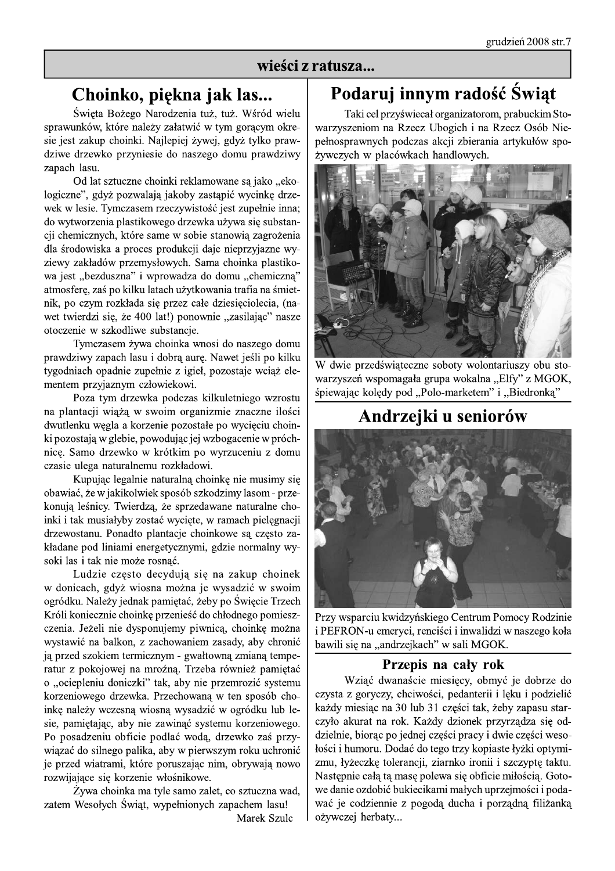### wieści z ratusza...

# Choinko, piękna jak las...

Święta Bożego Narodzenia tuż, tuż. Wśród wielu sprawunków, które należy załatwić w tym gorącym okresie jest zakup choinki. Najlepiej żywej, gdyż tylko prawdziwe drzewko przyniesie do naszego domu prawdziwy zapach lasu.

Od lat sztuczne choinki reklamowane są jako "ekologiczne", gdyż pozwalają jakoby zastąpić wycinkę drzewek w lesie. Tymczasem rzeczywistość jest zupełnie inna; do wytworzenia plastikowego drzewka używa się substancji chemicznych, które same w sobie stanowią zagrożenia dla środowiska a proces produkcji daje nieprzyjazne wyziewy zakładów przemysłowych. Sama choinka plastikowa jest "bezduszna" i wprowadza do domu "chemiczną" atmosfere, zaś po kilku latach użytkowania trafia na śmietnik, po czym rozkłada się przez całe dziesięciolecia, (nawet twierdzi się, że 400 lat!) ponownie "zasilając" nasze otoczenie w szkodliwe substancje.

Tymczasem żywa choinka wnosi do naszego domu prawdziwy zapach lasu i dobrą aurę. Nawet jeśli po kilku tygodniach opadnie zupełnie z igieł, pozostaje wciąż elementem przyjaznym człowiekowi.

Poza tym drzewka podczas kilkuletniego wzrostu na plantacji wiążą w swoim organizmie znaczne ilości dwutlenku węgla a korzenie pozostałe po wycięciu choinki pozostają w glebie, powodując jej wzbogacenie w próchnice. Samo drzewko w krótkim po wyrzuceniu z domu czasie ulega naturalnemu rozkładowi.

Kupując legalnie naturalną choinkę nie musimy się obawiać, że w jakikolwiek sposób szkodzimy lasom - przekonują leśnicy. Twierdzą, że sprzedawane naturalne choinki i tak musiałyby zostać wycięte, w ramach pielęgnacji drzewostanu. Ponadto plantacje choinkowe są często zakładane pod liniami energetycznymi, gdzie normalny wysoki las i tak nie może rosnąć.

Ludzie często decydują się na zakup choinek w donicach, gdyż wiosna można je wysadzić w swoim ogródku. Należy jednak pamiętać, żeby po Święcie Trzech Króli koniecznie choinkę przenieść do chłodnego pomieszczenia. Jeżeli nie dysponujemy piwnicą, choinkę można wystawić na balkon, z zachowaniem zasady, aby chronić ją przed szokiem termicznym - gwałtowną zmianą temperatur z pokojowej na mroźną. Trzeba również pamiętać o "ociepleniu doniczki" tak, aby nie przemrozić systemu korzeniowego drzewka. Przechowaną w ten sposób choinkę należy wczesną wiosną wysadzić w ogródku lub lesie, pamiętając, aby nie zawinąć systemu korzeniowego. Po posadzeniu obficie podlać wodą, drzewko zaś przywiązać do silnego palika, aby w pierwszym roku uchronić je przed wiatrami, które poruszając nim, obrywają nowo rozwijające się korzenie włośnikowe.

Żywa choinka ma tyle samo zalet, co sztuczna wad, zatem Wesołych Świąt, wypełnionych zapachem lasu! Marek Szulc

# Podaruj innym radość Świąt

Taki cel przyświecał organizatorom, prabuckim Stowarzyszeniom na Rzecz Ubogich i na Rzecz Osób Niepełnosprawnych podczas akcji zbierania artykułów spożywczych w placówkach handlowych.



W dwie przedświąteczne soboty wolontariuszy obu stowarzyszeń wspomagała grupa wokalna "Elfy" z MGOK, śpiewając kolędy pod "Polo-marketem" i "Biedronką"

# Andrzejki u seniorów



Przy wsparciu kwidzyńskiego Centrum Pomocy Rodzinie i PEFRON-u emeryci, renciści i inwalidzi w naszego koła bawili się na "andrzejkach" w sali MGOK.

### Przepis na cały rok

Wziąć dwanaście miesięcy, obmyć je dobrze do czysta z goryczy, chciwości, pedanterii i lęku i podzielić każdy miesiąc na 30 lub 31 części tak, żeby zapasu starczyło akurat na rok. Każdy dzionek przyrządza się oddzielnie, biorąc po jednej części pracy i dwie części wesołości i humoru. Dodać do tego trzy kopiaste łyżki optymizmu, łyżeczkę tolerancji, ziarnko ironii i szczyptę taktu. Nastepnie cała ta mase polewa się obficie miłościa. Gotowe danie ozdobić bukiecikami małych uprzejmości i podawać je codziennie z pogodą ducha i porządną filiżanką ożywczej herbaty...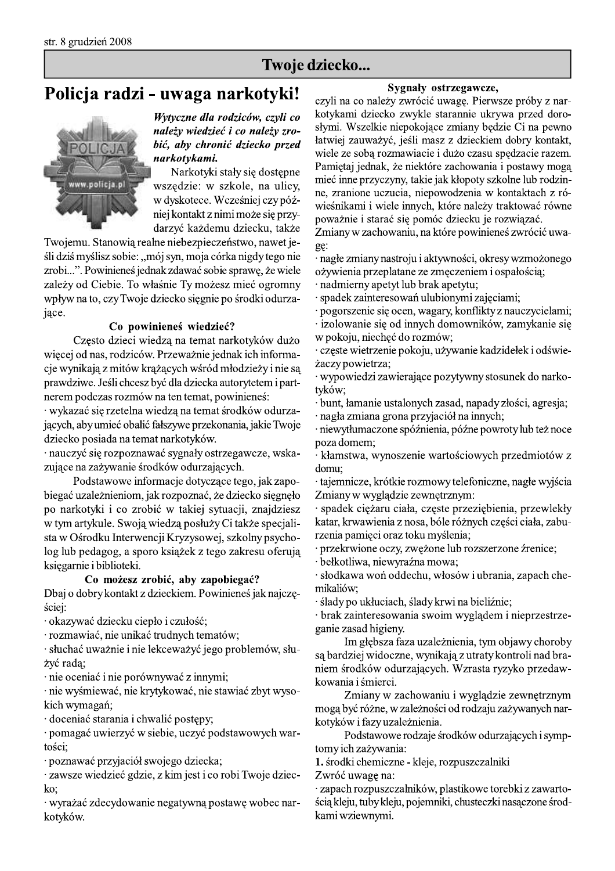# Iwoje dzie<br>Policja radzi - uwaga narkotyki! <sub>czyl</sub>



zrobi...". Powinieneś jednak zdawać sobie sprawę, że wiele zależy od Ciebie. To właśnie Ty możesz mieć ogromny wpływ na to, czy Twoje dziecko sięgnie po środki odurzajace.

# Co powinienes wiedziec?

Często dzieci wiedzą na temat narkotyków dużo więcej od nas, rodziców. Przeważnie jednak ich informacje wynikają z mitów krażących wśród młodzieży i nie są prawdziwe. Jeśli chcesz być dla dziecka autorytetem i partnerem podczas rozmów na ten temat, powinieneś:

· wykazać się rzetelna wiedzą na temat środków odurzających, aby umieć obalić fałszywe przekonania, jakie Twoje dziecko posiada na temat narkotyków.

· nauczyć się rozpoznawać sygnały ostrzegawcze, wskazujące na zażywanie środków odurzających.

Podstawowe informacje dotyczące tego, jak zapobiegać uzależnieniom, jak rozpoznać, że dziecko sięgnęło po narkotyki i co zrobić w takiej sytuacji, znajdziesz w tym artykule. Swoją wiedzą posłuży Ci także specjalista w Ośrodku Interwencji Kryzysowej, szkolny psycholog lub pedagog, a sporo książek z tego zakresu oferują księgarnie i biblioteki.

### Co możesz zrobić, aby zapobiegać?

Dbaj o dobry kontakt z dzieckiem. Powinieneś jak najczęściej:

· okazywać dziecku ciepło i czułość;

· rozmawiać, nie unikać trudnych tematów;

· słuchać uważnie i nie lekceważyć jego problemów, służyć rada;

· nie oceniać i nie porównywać z innymi;

· nie wyśmiewać, nie krytykować, nie stawiać zbyt wysokich wymagań;

doceniać starania i chwalić postępy;

· pomagać uwierzyć w siebie, uczyć podstawowych wartości;

· poznawać przyjaciół swojego dziecka;

· zawsze wiedzieć gdzie, z kim jest i co robi Twoje dziec-<br>ko:

· wyrażać zdecydowanie negatywną postawę wobec narkotyków.

### Sygnały ostrzegawcze,

czyli na co należy zwrócić uwagę. Pierwsze próby z narkotykami dziecko zwykle starannie ukrywa przed dorosłymi. Wszelkie niepokojące zmiany będzie Ci na pewno łatwiej zauważyć, jeśli masz z dzieckiem dobry kontakt, wiele ze sobą rozmawiacie i dużo czasu spędzacie razem. Pamiętaj jednak, że niektóre zachowania i postawy mogą mieć inne przyczyny, takie jak kłopoty szkolne lub rodzinne, zranione uczucia, niepowodzenia w kontaktach z rówieśnikami i wiele innych, które należy traktować równe poważnie i starać się pomóc dziecku je rozwiązać.

Zmiany w zachowaniu, na które powinieneś zwrócić uwa-ge:

· nagłe zmiany nastroju i aktywności, okresy wzmożonego ożywienia przeplatane ze zmęczeniem i ospałością;

· nadmierny apetyt lub brak apetytu;

· spadek zainteresowań ulubionymi zajęciami;

· pogorszenie się ocen, wagary, konflikty z nauczycielami;

izolowanie się od innych domowników, zamykanie się w pokoju, niechęć do rozmów;

 $\cdot$  częste wietrzenie pokoju, używanie kadzidełek i odświeżaczy powietrza;

wypowiedzi zawierające pozytywny stosunek do narkotyków;

 $\cdot$  bunt, łamanie ustalonych zasad, napady złości, agresia;

· nagła zmiana grona przyjaciół na innych;

miewytłumaczone spóźnienia, późne powroty lub też noce poza domem;

· kłamstwa, wynoszenie wartościowych przedmiotów z domu;

 $\cdot$ tajemnicze, krótkie rozmowy telefoniczne, nagłe wyjścia Zmiany w wyglądzie zewnętrznym:

spadek ciężaru ciała, częste przeziębienia, przewlekły katar, krwawienia z nosa, bóle różnych części ciała, zaburzenia pamięci oraz toku myślenia;

· przekrwione oczy, zwężone lub rozszerzone źrenice;

· bełkotliwa, niewyraźna mowa;

· słodkawa woń oddechu, włosów i ubrania, zapach chemikaliów:

· ślady po ukłuciach, ślady krwi na bieliźnie;

· brak zainteresowania swoim wyglądem i nieprzestrzeganie zasad higieny.

Im głębsza faza uzależnienia, tym objawy choroby są bardziej widoczne, wynikają z utraty kontroli nad braniem środków odurzających. Wzrasta ryzyko przedawkowania i śmierci.

Zmiany w zachowaniu i wyglądzie zewnętrznym mogą być różne, w zależności od rodzaju zażywanych narkotyków i fazy uzależnienia.

Podstawowe rodzaje środków odurzających i symptomy ich zażywania:

1. środki chemiczne - kleje, rozpuszczalniki

Zwróć uwagę na:

· zapach rozpuszczalników, plastikowe torebki z zawartością kleju, tuby kleju, pojemniki, chusteczki nasączone środkami wziewnymi.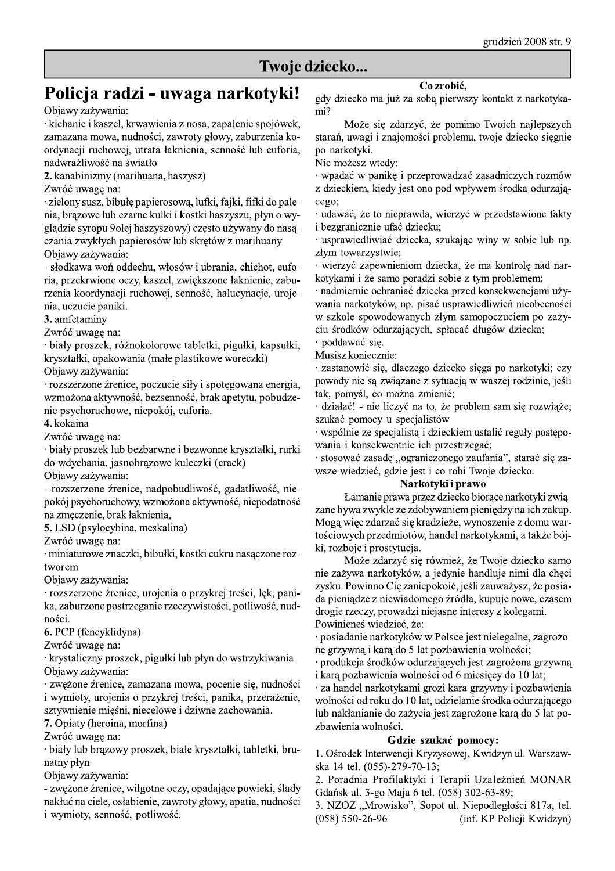### Twoje dziecko...

# Policja radzi - uwaga narkotyki!

Objawy zażywania:

· kichanie i kaszel, krwawienia z nosa, zapalenie spojówek, zamazana mowa, nudności, zawroty głowy, zaburzenia koordynacji ruchowej, utrata łaknienia, senność lub euforia, nadwrażliwość na światło

2. kanabinizmy (marihuana, haszysz)

Zwróć uwagę na:

· zielony susz, bibułę papierosową, lufki, fajki, fifki do palenia, brazowe lub czarne kulki i kostki haszyszu, płyn o wyglądzie syropu 9 olej haszyszowy) często używany do nasączania zwykłych papierosów lub skrętów z marihuany Objawy zażywania:

- słodkawa woń oddechu, włosów i ubrania, chichot, euforia, przekrwione oczy, kaszel, zwiększone łaknienie, zaburzenia koordynacji ruchowej, senność, halucynacje, urojenia, uczucie paniki.

3. amfetaminy

Zwróć uwagę na:

· biały proszek, różnokolorowe tabletki, pigułki, kapsułki, kryształki, opakowania (małe plastikowe woreczki)

Objawy zażywania:

· rozszerzone źrenice, poczucie siły i spotęgowana energia, wzmożona aktywność, bezsenność, brak apetytu, pobudzenie psychoruchowe, niepokój, euforia.

4. kokaina

Zwróć uwagę na:

· biały proszek lub bezbarwne i bezwonne kryształki, rurki do wdychania, jasnobrązowe kuleczki (crack)

Objawy zażywania:

- rozszerzone źrenice, nadpobudliwość, gadatliwość, niepokój psychoruchowy, wzmożona aktywność, niepodatność na zmęczenie, brak łaknienia,

5. LSD (psylocybina, meskalina)

Zwróć uwagę na:

· miniaturowe znaczki, bibułki, kostki cukru nasączone roztworem

Objawy zażywania:

· rozszerzone źrenice, urojenia o przykrej treści, lęk, panika, zaburzone postrzeganie rzeczywistości, potliwość, nudności.

6. PCP (fencyklidyna)

Zwróć uwagę na:

· krystaliczny proszek, pigułki lub płyn do wstrzykiwania Objawy zażywania:

· zwężone źrenice, zamazana mowa, pocenie się, nudności i wymioty, urojenia o przykrej treści, panika, przerażenie, sztywnienie mięśni, niecelowe i dziwne zachowania.

7. Opiaty (heroina, morfina)

Zwróć uwagę na:

· biały lub brązowy proszek, białe kryształki, tabletki, brunatny płyn

Objawy zażywania:

- zwężone źrenice, wilgotne oczy, opadające powieki, ślady nakłuć na ciele, osłabienie, zawroty głowy, apatia, nudności i wymioty, senność, potliwość.

Co zrobić,

gdy dziecko ma już za sobą pierwszy kontakt z narkotyka- $\text{mi}$ ?

Może się zdarzyć, że pomimo Twoich najlepszych starań, uwagi i znajomości problemu, twoje dziecko sięgnie po narkotyki.

Nie możesz wtedy:

· wpadać w panikę i przeprowadzać zasadniczych rozmów z dzieckiem, kiedy jest ono pod wpływem środka odurzajacego;

· udawać, że to nieprawda, wierzyć w przedstawione fakty i bezgranicznie ufać dziecku:

· usprawiedliwiać dziecka, szukając winy w sobie lub np. złym towarzystwie;

· wierzyć zapewnieniom dziecka, że ma kontrolę nad narkotykami i że samo poradzi sobie z tym problemem;

· nadmiernie ochraniać dziecka przed konsekwencjami używania narkotyków, np. pisać usprawiedliwień nieobecności w szkole spowodowanych złym samopoczuciem po zażyciu środków odurzających, spłacać długów dziecka;

· poddawać się.

Musisz koniecznie:

· zastanowić się, dlaczego dziecko sięga po narkotyki; czy powody nie są związane z sytuacją w waszej rodzinie, jeśli tak, pomyśl, co można zmienić;

działać! - nie liczyć na to, że problem sam się rozwiąże; szukać pomocy u specjalistów

· wspólnie ze specjalista i dzieckiem ustalić reguły postepowania i konsekwentnie ich przestrzegać;

· stosować zasadę "ograniczonego zaufania", starać się zawsze wiedzieć, gdzie jest i co robi Twoje dziecko.

### Narkotyki i prawo

Łamanie prawa przez dziecko biorące narkotyki związane bywa zwykle ze zdobywaniem pieniędzy na ich zakup. Mogą więc zdarzać się kradzieże, wynoszenie z domu wartościowych przedmiotów, handel narkotykami, a także bójki, rozboje i prostytucja.

Może zdarzyć się również, że Twoje dziecko samo nie zażywa narkotyków, a jedynie handluje nimi dla chęci zysku. Powinno Cię zaniepokoić, jeśli zauważysz, że posiada pieniądze z niewiadomego źródła, kupuje nowe, czasem drogie rzeczy, prowadzi niejasne interesy z kolegami. Powinieneś wiedzieć, że:

· posiadanie narkotyków w Polsce jest nielegalne, zagrożone grzywną i karą do 5 lat pozbawienia wolności;

· produkcja środków odurzających jest zagrożona grzywną i karą pozbawienia wolności od 6 miesięcy do 10 lat;

· za handel narkotykami grozi kara grzywny i pozbawienia wolności od roku do 10 lat, udzielanie środka odurzającego lub nakłanianie do zażycia jest zagrożone karą do 5 lat pozbawienia wolności.

### Gdzie szukać pomocy:

1. Ośrodek Interwencji Kryzysowej, Kwidzyn ul. Warszawska 14 tel. (055)-279-70-13;

2. Poradnia Profilaktyki i Terapii Uzależnień MONAR Gdańsk ul. 3-go Maja 6 tel. (058) 302-63-89;

3. NZOZ "Mrowisko", Sopot ul. Niepodległości 817a, tel.  $(058) 550 - 26 - 96$ (inf. KP Policji Kwidzyn)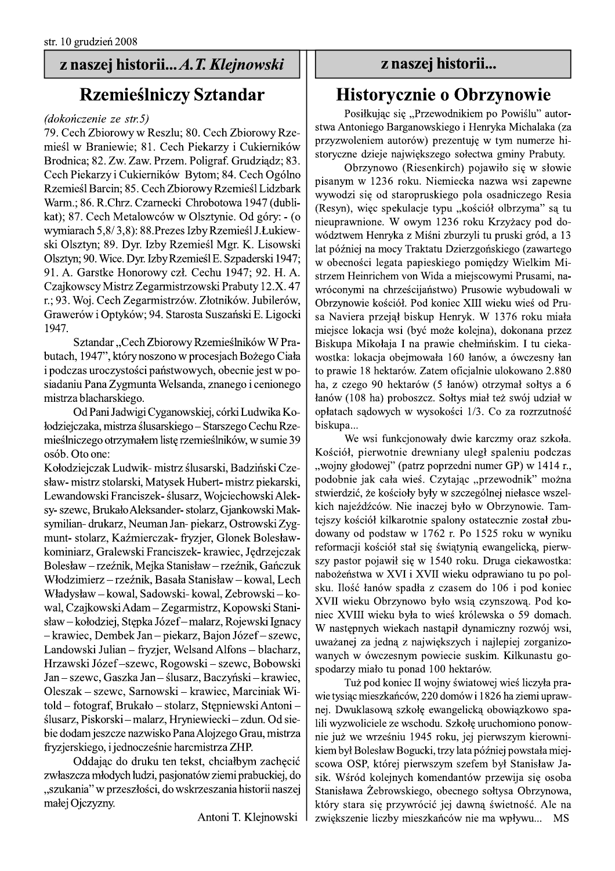# z naszej historii... A. T. Klejnowski

# **Rzemieślniczy Sztandar**

### (dokończenie ze str.5)

79. Cech Zbiorowy w Reszlu; 80. Cech Zbiorowy Rzemieśl w Braniewie; 81. Cech Piekarzy i Cukierników Brodnica; 82. Zw. Zaw. Przem. Poligraf. Grudziądz; 83. Cech Piekarzy i Cukierników Bytom; 84. Cech Ogólno Rzemieśl Barcin; 85. Cech Zbiorowy Rzemieśl Lidzbark Warm.; 86. R.Chrz. Czarnecki Chrobotowa 1947 (dublikat); 87. Cech Metalowców w Olsztynie. Od góry: - (o wymiarach 5,8/3,8): 88. Prezes Izby Rzemieśl J. Łukiewski Olsztyn; 89. Dyr. Izby Rzemieśl Mgr. K. Lisowski Olsztyn; 90. Wice. Dyr. Izby Rzemieśl E. Szpaderski 1947; 91. A. Garstke Honorowy czł. Cechu 1947; 92. H. A. Czajkowscy Mistrz Zegarmistrzowski Prabuty 12.X. 47 r.; 93. Woj. Cech Zegarmistrzów. Złotników. Jubilerów, Grawerów i Optyków; 94. Starosta Suszański E. Ligocki 1947.

Sztandar "Cech Zbiorowy Rzemieślników W Prabutach, 1947", który noszono w procesjach Bożego Ciała i podczas uroczystości państwowych, obecnie jest w posiadaniu Pana Zygmunta Welsanda, znanego i cenionego mistrza blacharskiego.

Od Pani Jadwigi Cyganowskiej, córki Ludwika Kołodziejczaka, mistrza ślusarskiego – Starszego Cechu Rzemieślniczego otrzymałem listę rzemieślników, w sumie 39 osób. Oto one:

Kołodziejczak Ludwik-mistrz ślusarski, Badziński Czesław- mistrz stolarski, Matysek Hubert- mistrz piekarski, Lewandowski Franciszek- ślusarz, Wojciechowski Aleksy-szewc, Brukało Aleksander-stolarz, Gjankowski Maksymilian- drukarz, Neuman Jan- piekarz, Ostrowski Zygmunt- stolarz, Kaźmierczak- fryzjer, Glonek Bolesławkominiarz, Gralewski Franciszek- krawiec, Jędrzejczak Bolesław – rzeźnik, Mejka Stanisław – rzeźnik, Gańczuk Włodzimierz - rzeźnik, Basała Stanisław - kowal, Lech Władysław - kowal, Sadowski- kowal, Zebrowski - kowal, Czajkowski Adam – Zegarmistrz, Kopowski Stanisław – kołodziej, Stępka Józef – malarz, Rojewski Ignacy - krawiec, Dembek Jan - piekarz, Bajon Józef - szewc, Landowski Julian - fryzjer, Welsand Alfons - blacharz, Hrzawski Józef-szewc, Rogowski - szewc, Bobowski Jan - szewc, Gaszka Jan - ślusarz, Baczyński - krawiec, Oleszak – szewc, Sarnowski – krawiec, Marciniak Witold - fotograf, Brukało - stolarz, Stępniewski Antoni ślusarz, Piskorski – malarz, Hryniewiecki – zdun. Od siebie dodam jeszcze nazwisko Pana Alojzego Grau, mistrza fryzjerskiego, i jednocześnie harcmistrza ZHP.

Oddając do druku ten tekst, chciałbym zachęcić zwłaszcza młodych ludzi, pasjonatów ziemi prabuckiej, do "szukania" w przeszłości, do wskrzeszania historii naszej małej Ojczyzny.

Antoni T. Klejnowski

# z naszej historii...

# Historycznie o Obrzynowie

Posiłkując się "Przewodnikiem po Powiślu" autorstwa Antoniego Barganowskiego i Henryka Michalaka (za przyzwoleniem autorów) prezentuję w tym numerze historyczne dzieje największego sołectwa gminy Prabuty.

Obrzynowo (Riesenkirch) pojawiło się w słowie pisanym w 1236 roku. Niemiecka nazwa wsi zapewne wywodzi się od staropruskiego pola osadniczego Resia (Resyn), więc spekulacje typu "kościół olbrzyma" są tu nieuprawnione. W owym 1236 roku Krzyżacy pod dowództwem Henryka z Miśni zburzyli tu pruski gród, a 13 lat później na mocy Traktatu Dzierzgońskiego (zawartego w obecności legata papieskiego pomiędzy Wielkim Mistrzem Heinrichem von Wida a miejscowymi Prusami, nawróconymi na chrześcijaństwo) Prusowie wybudowali w Obrzynowie kościół. Pod koniec XIII wieku wieś od Prusa Naviera przejął biskup Henryk. W 1376 roku miała miejsce lokacja wsi (być może kolejna), dokonana przez Biskupa Mikołaja I na prawie chełmińskim. I tu ciekawostka: lokacja obejmowała 160 łanów, a ówczesny łan to prawie 18 hektarów. Zatem oficjalnie ulokowano 2.880 ha, z czego 90 hektarów (5 łanów) otrzymał sołtys a 6 łanów (108 ha) proboszcz. Sołtys miał też swój udział w opłatach sądowych w wysokości 1/3. Co za rozrzutność biskupa...

We wsi funkcjonowały dwie karczmy oraz szkoła. Kościół, pierwotnie drewniany uległ spaleniu podczas "wojny głodowej" (patrz poprzedni numer GP) w 1414 r., podobnie jak cała wieś. Czytając "przewodnik" można stwierdzić, że kościoły były w szczególnej niełasce wszelkich najeźdźców. Nie inaczej było w Obrzynowie. Tamtejszy kościół kilkarotnie spalony ostatecznie został zbudowany od podstaw w 1762 r. Po 1525 roku w wyniku reformacji kościół stał się świątynią ewangelicką, pierwszy pastor pojawił się w 1540 roku. Druga ciekawostka: nabożeństwa w XVI i XVII wieku odprawiano tu po polsku. Ilość łanów spadła z czasem do 106 i pod koniec XVII wieku Obrzynowo było wsią czynszową. Pod koniec XVIII wieku była to wieś królewska o 59 domach. W następnych wiekach nastąpił dynamiczny rozwój wsi, uważanej za jedną z największych i najlepiej zorganizowanych w ówczesnym powiecie suskim. Kilkunastu gospodarzy miało tu ponad 100 hektarów.

Tuż pod koniec II wojny światowej wieś liczyła prawie tysiąc mieszkańców, 220 domów i 1826 ha ziemi uprawnej. Dwuklasową szkołę ewangelicką obowiązkowo spalili wyzwoliciele ze wschodu. Szkołę uruchomiono ponownie już we wrześniu 1945 roku, jej pierwszym kierownikiem był Bolesław Bogucki, trzy lata później powstała miejscowa OSP, której pierwszym szefem był Stanisław Jasik. Wśród kolejnych komendantów przewija się osoba Stanisława Żebrowskiego, obecnego sołtysa Obrzynowa, który stara się przywrócić jej dawną świetność. Ale na zwiększenie liczby mieszkańców nie ma wpływu... MS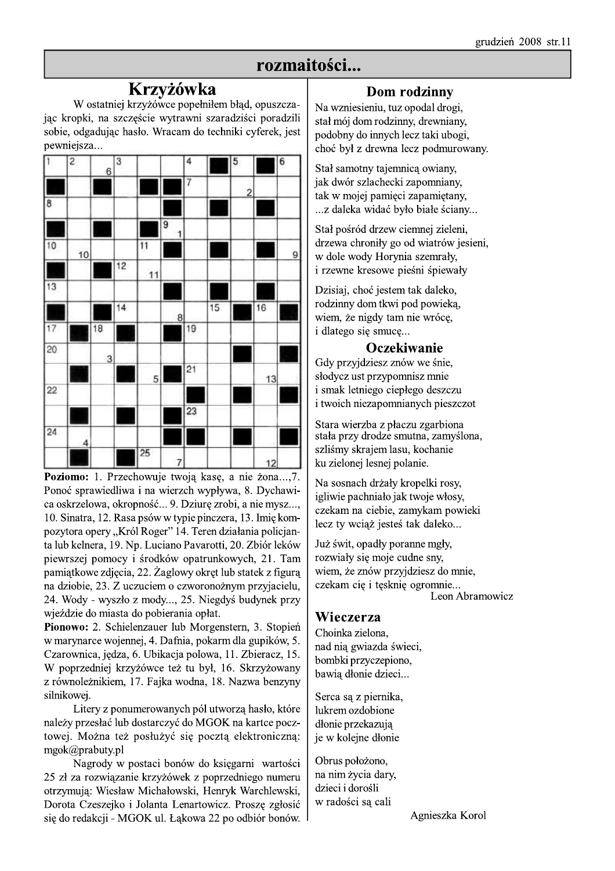# rozmaitości...

# **Krzyżówka**

W ostatniej krzyżówce popełniłem błąd, opuszczając kropki, na szczęście wytrawni szaradziści poradzili sobie, odgađujac hasło. Wracam do techniki cyferek, jest pewniejsza...



Poziomo: 1. Przechowuje twoją kasę, a nie żona...,7. Ponoć sprawiedliwa i na wierzch wypływa, 8. Dychawica oskrzelowa, okropność... 9. Dziurę zrobi, a nie mysz..., 10. Sinatra, 12. Rasa psów w typie pinczera, 13. Imię kompozytora opery "Król Roger" 14. Teren działania policjanta lub kelnera, 19. Np. Luciano Pavarotti, 20. Zbiór leków piewrszej pomocy i środków opatrunkowych, 21. Tam pamiątkowe zdjęcia, 22. Żaglowy okręt lub statek z figura na dziobie, 23. Z uczuciem o czworonożnym przyjacielu, 24. Wody - wyszło z mody..., 25. Niegdyś budynek przy wjeździe do miasta do pobierania opłat.

Pionowo: 2. Schielenzauer lub Morgenstern, 3. Stopień w marynarce wojennej, 4. Dafnia, pokarm dla gupików, 5. Czarownica, jędza, 6. Ubikacja polowa, 11. Zbieracz, 15. W poprzedniej krzyżówce też tu był, 16. Skrzyżowany z równoleżnikiem, 17. Fajka wodna, 18. Nazwa benzyny silnikowej.

Litery z ponumerowanych pól utworzą hasło, które należy przesłać lub dostarczyć do MGOK na kartce pocztowej. Można też posłużyć się pocztą elektroniczną: mgok@prabuty.pl

Nagrody w postaci bonów do księgarni wartości 25 zł za rozwiązanie krzyżówek z poprzedniego numeru otrzymują: Wiesław Michałowski, Henryk Warchlewski, Dorota Czeszejko i Jolanta Lenartowicz. Proszę zgłosić się do redakcji - MGOK ul. Łąkowa 22 po odbiór bonów.

### Dom rodzinny

Na wzniesieniu, tuz opodal drogi, stał mój dom rodzinny, drewniany, podobny do innych lecz taki ubogi, choć był z drewna lecz podmurowany.

Stał samotny tajemnicą owiany, jak dwór szlachecki zapomniany, tak w mojej pamięci zapamiętany, ...z daleka widać było białe ściany...

Stał pośród drzew ciemnej zieleni, drzewa chroniły go od wiatrów jesieni, w dole wody Horynia szemrały, i rzewne kresowe pieśni śpiewały

Dzisiaj, choć jestem tak daleko. rodzinny dom tkwi pod powieką, wiem, że nigdy tam nie wrócę, i dlatego się smucę...

### Oczekiwanie

Gdy przyjdziesz znów we śnie, słodycz ust przypomnisz mnie i smak letniego ciepłego deszczu i twoich niezapomnianych pieszczot

Stara wierzba z płaczu zgarbiona stała przy drodze smutna, zamyślona, szliśmy skrajem lasu, kochanie ku zielonej lesnej polanie.

Na sosnach drżały kropelki rosy, igliwie pachniało jak twoje włosy, czekam na ciebie, zamykam powieki lecz ty wciąż jesteś tak daleko...

Już świt, opadły poranne mgły, rozwiały się moje cudne sny, wiem, że znów przyjdziesz do mnie, czekam cię i tęsknię ogromnie...

Leon Abramowicz

### Wieczerza

Choinka zielona. nad nią gwiazda świeci, bombki przyczepiono, bawią dłonie dzieci...

Serca sa z piernika, lukrem ozdobione dłonie przekazują je w kolejne dłonie

Obrus położono, na nim życia dary, dzieci i dorośli w radości sa cali

Agnieszka Korol